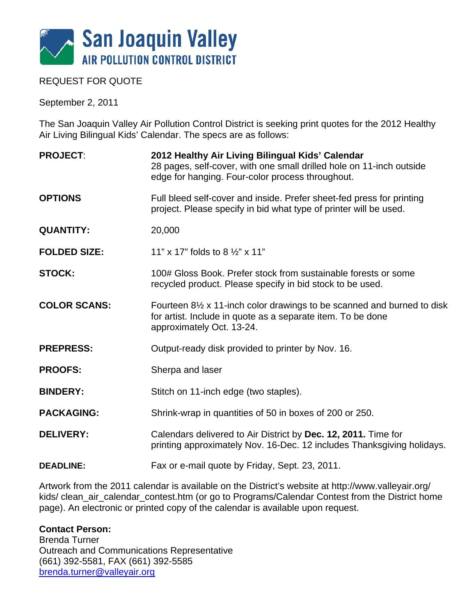

## REQUEST FOR QUOTE

September 2, 2011

The San Joaquin Valley Air Pollution Control District is seeking print quotes for the 2012 Healthy Air Living Bilingual Kids' Calendar. The specs are as follows:

| <b>PROJECT:</b>     | 2012 Healthy Air Living Bilingual Kids' Calendar<br>28 pages, self-cover, with one small drilled hole on 11-inch outside<br>edge for hanging. Four-color process throughout.    |
|---------------------|---------------------------------------------------------------------------------------------------------------------------------------------------------------------------------|
| <b>OPTIONS</b>      | Full bleed self-cover and inside. Prefer sheet-fed press for printing<br>project. Please specify in bid what type of printer will be used.                                      |
| <b>QUANTITY:</b>    | 20,000                                                                                                                                                                          |
| <b>FOLDED SIZE:</b> | 11" x 17" folds to 8 $\frac{1}{2}$ " x 11"                                                                                                                                      |
| <b>STOCK:</b>       | 100# Gloss Book. Prefer stock from sustainable forests or some<br>recycled product. Please specify in bid stock to be used.                                                     |
| <b>COLOR SCANS:</b> | Fourteen 8 <sup>1/2</sup> x 11-inch color drawings to be scanned and burned to disk<br>for artist. Include in quote as a separate item. To be done<br>approximately Oct. 13-24. |
| <b>PREPRESS:</b>    | Output-ready disk provided to printer by Nov. 16.                                                                                                                               |
| <b>PROOFS:</b>      | Sherpa and laser                                                                                                                                                                |
| <b>BINDERY:</b>     | Stitch on 11-inch edge (two staples).                                                                                                                                           |
| <b>PACKAGING:</b>   | Shrink-wrap in quantities of 50 in boxes of 200 or 250.                                                                                                                         |
| <b>DELIVERY:</b>    | Calendars delivered to Air District by Dec. 12, 2011. Time for<br>printing approximately Nov. 16-Dec. 12 includes Thanksgiving holidays.                                        |
| <b>DEADLINE:</b>    | Fax or e-mail quote by Friday, Sept. 23, 2011.                                                                                                                                  |

Artwork from the 2011 calendar is available on the District's website at http://www.valleyair.org/ kids/ clean\_air\_calendar\_contest.htm (or go to Programs/Calendar Contest from the District home page). An electronic or printed copy of the calendar is available upon request.

## **Contact Person:**

Brenda Turner Outreach and Communications Representative (661) 392-5581, FAX (661) 392-5585 brenda.turner@valleyair.org